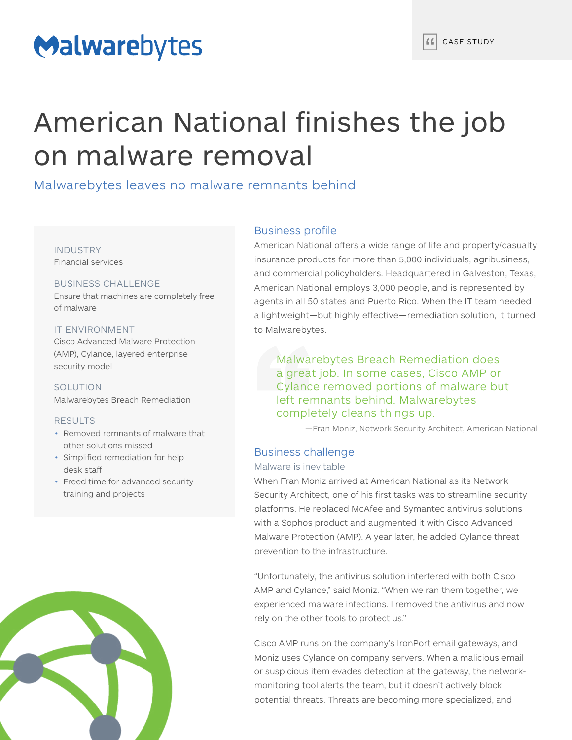# Malwarebytes

# American National finishes the job on malware removal

Malwarebytes leaves no malware remnants behind

### INDUSTRY

Financial services

#### BUSINESS CHALLENGE

Ensure that machines are completely free of malware

IT ENVIRONMENT Cisco Advanced Malware Protection (AMP), Cylance, layered enterprise security model

#### SOLUTION Malwarebytes Breach Remediation

#### RESULTS

- Removed remnants of malware that other solutions missed
- Simplified remediation for help desk staff
- Freed time for advanced security training and projects



#### Business profile

American National offers a wide range of life and property/casualty insurance products for more than 5,000 individuals, agribusiness, and commercial policyholders. Headquartered in Galveston, Texas, American National employs 3,000 people, and is represented by agents in all 50 states and Puerto Rico. When the IT team needed a lightweight—but highly effective—remediation solution, it turned to Malwarebytes.

#### Malwarebytes Breach Remediation does a great job. In some cases, Cisco AMP or Cylance removed portions of malware but left remnants behind. Malwarebytes completely cleans things up.

—Fran Moniz, Network Security Architect, American National

#### Business challenge

#### Malware is inevitable

When Fran Moniz arrived at American National as its Network Security Architect, one of his first tasks was to streamline security platforms. He replaced McAfee and Symantec antivirus solutions with a Sophos product and augmented it with Cisco Advanced Malware Protection (AMP). A year later, he added Cylance threat prevention to the infrastructure.

"Unfortunately, the antivirus solution interfered with both Cisco AMP and Cylance," said Moniz. "When we ran them together, we experienced malware infections. I removed the antivirus and now rely on the other tools to protect us."

Cisco AMP runs on the company's IronPort email gateways, and Moniz uses Cylance on company servers. When a malicious email or suspicious item evades detection at the gateway, the networkmonitoring tool alerts the team, but it doesn't actively block potential threats. Threats are becoming more specialized, and